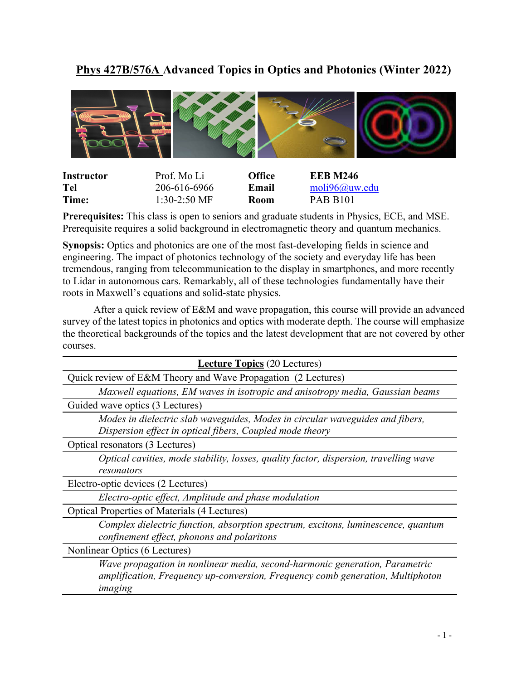## **Phys 427B/576A Advanced Topics in Optics and Photonics (Winter 2022)**



| <b>Instructor</b> | Prof. Mo Li    | <b>Office</b> | <b>EEB M246</b>                         |
|-------------------|----------------|---------------|-----------------------------------------|
| Tel               | 206-616-6966   | Email         | mol <sub>i</sub> 96@ <sub>u</sub> w.edu |
| Time:             | $1:30-2:50$ MF | <b>Room</b>   | <b>PAB B101</b>                         |

**Prerequisites:** This class is open to seniors and graduate students in Physics, ECE, and MSE. Prerequisite requires a solid background in electromagnetic theory and quantum mechanics.

**Synopsis:** Optics and photonics are one of the most fast-developing fields in science and engineering. The impact of photonics technology of the society and everyday life has been tremendous, ranging from telecommunication to the display in smartphones, and more recently to Lidar in autonomous cars. Remarkably, all of these technologies fundamentally have their roots in Maxwell's equations and solid-state physics.

After a quick review of E&M and wave propagation, this course will provide an advanced survey of the latest topics in photonics and optics with moderate depth. The course will emphasize the theoretical backgrounds of the topics and the latest development that are not covered by other courses.

| <b>Lecture Topics</b> (20 Lectures)                                                                                                                                      |  |  |
|--------------------------------------------------------------------------------------------------------------------------------------------------------------------------|--|--|
| Quick review of E&M Theory and Wave Propagation (2 Lectures)                                                                                                             |  |  |
| Maxwell equations, EM waves in isotropic and anisotropy media, Gaussian beams                                                                                            |  |  |
| Guided wave optics (3 Lectures)                                                                                                                                          |  |  |
| Modes in dielectric slab waveguides, Modes in circular waveguides and fibers,<br>Dispersion effect in optical fibers, Coupled mode theory                                |  |  |
| Optical resonators (3 Lectures)                                                                                                                                          |  |  |
| Optical cavities, mode stability, losses, quality factor, dispersion, travelling wave<br>resonators                                                                      |  |  |
| Electro-optic devices (2 Lectures)                                                                                                                                       |  |  |
| Electro-optic effect, Amplitude and phase modulation                                                                                                                     |  |  |
| <b>Optical Properties of Materials (4 Lectures)</b>                                                                                                                      |  |  |
| Complex dielectric function, absorption spectrum, excitons, luminescence, quantum<br>confinement effect, phonons and polaritons                                          |  |  |
| Nonlinear Optics (6 Lectures)                                                                                                                                            |  |  |
| Wave propagation in nonlinear media, second-harmonic generation, Parametric<br>amplification, Frequency up-conversion, Frequency comb generation, Multiphoton<br>imaging |  |  |